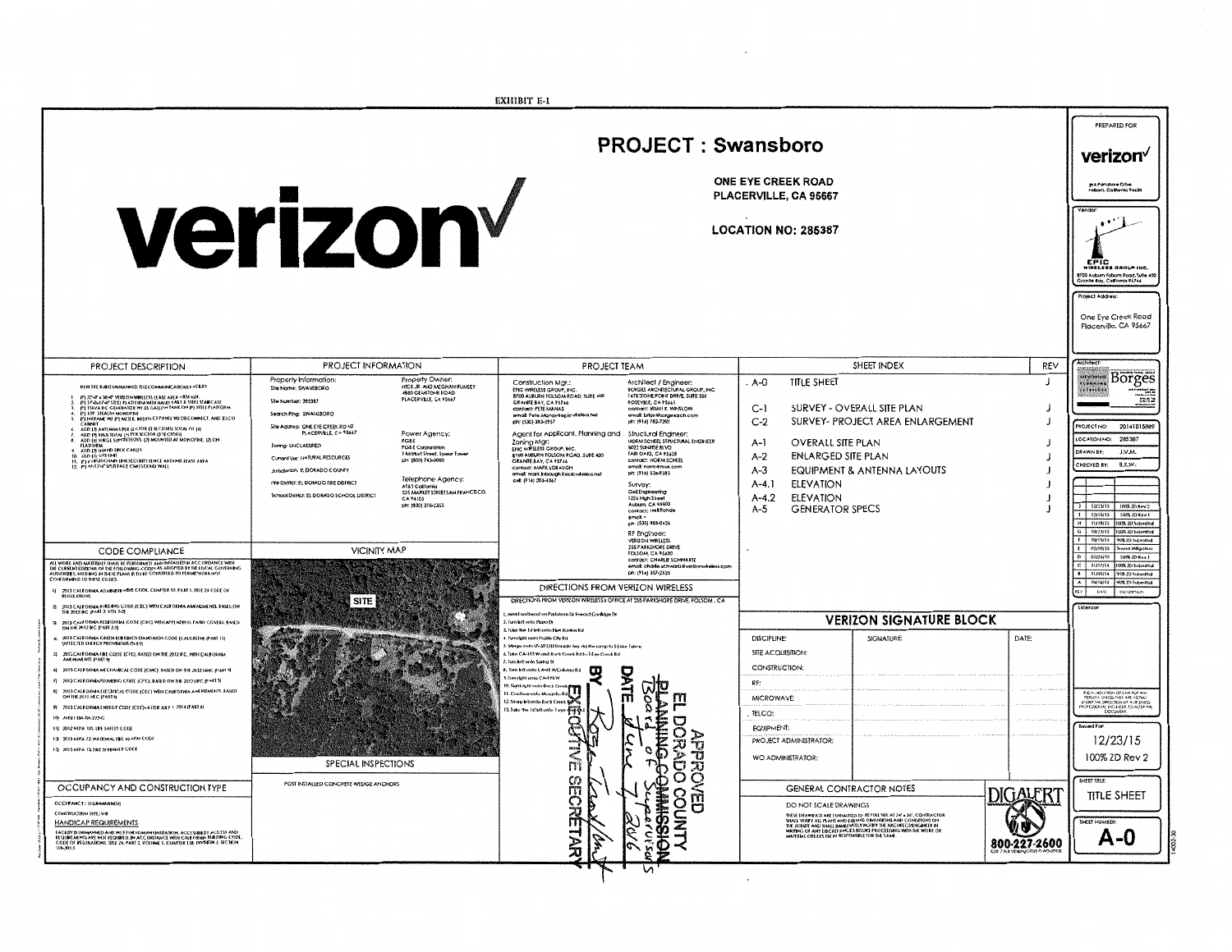|                                                                                                                                                                                                                                                                                                                                                                                                                                                                                                                                                                                                                                                                                                                                                                                                                                                                                                                                                                                                                                                           |                                                                                                                                                                                                                                                                                                                                                                                                                                                                                                                                                                                                                                                                        | <b>EXHIBIT E-I</b>                                                                                                                                                                                                                                                                                                                                                                                                                                                                                                                                                                                                                                                                                                                                                                                                                                                                                                                                                                                                                                        |                                                                                                                                                                                                                                                                                                                                |                                                                                    |                                                                                                                                                                                                                                                                                                                                                                                                                                                                                              |
|-----------------------------------------------------------------------------------------------------------------------------------------------------------------------------------------------------------------------------------------------------------------------------------------------------------------------------------------------------------------------------------------------------------------------------------------------------------------------------------------------------------------------------------------------------------------------------------------------------------------------------------------------------------------------------------------------------------------------------------------------------------------------------------------------------------------------------------------------------------------------------------------------------------------------------------------------------------------------------------------------------------------------------------------------------------|------------------------------------------------------------------------------------------------------------------------------------------------------------------------------------------------------------------------------------------------------------------------------------------------------------------------------------------------------------------------------------------------------------------------------------------------------------------------------------------------------------------------------------------------------------------------------------------------------------------------------------------------------------------------|-----------------------------------------------------------------------------------------------------------------------------------------------------------------------------------------------------------------------------------------------------------------------------------------------------------------------------------------------------------------------------------------------------------------------------------------------------------------------------------------------------------------------------------------------------------------------------------------------------------------------------------------------------------------------------------------------------------------------------------------------------------------------------------------------------------------------------------------------------------------------------------------------------------------------------------------------------------------------------------------------------------------------------------------------------------|--------------------------------------------------------------------------------------------------------------------------------------------------------------------------------------------------------------------------------------------------------------------------------------------------------------------------------|------------------------------------------------------------------------------------|----------------------------------------------------------------------------------------------------------------------------------------------------------------------------------------------------------------------------------------------------------------------------------------------------------------------------------------------------------------------------------------------------------------------------------------------------------------------------------------------|
|                                                                                                                                                                                                                                                                                                                                                                                                                                                                                                                                                                                                                                                                                                                                                                                                                                                                                                                                                                                                                                                           |                                                                                                                                                                                                                                                                                                                                                                                                                                                                                                                                                                                                                                                                        |                                                                                                                                                                                                                                                                                                                                                                                                                                                                                                                                                                                                                                                                                                                                                                                                                                                                                                                                                                                                                                                           |                                                                                                                                                                                                                                                                                                                                |                                                                                    | PREPARED FOR                                                                                                                                                                                                                                                                                                                                                                                                                                                                                 |
|                                                                                                                                                                                                                                                                                                                                                                                                                                                                                                                                                                                                                                                                                                                                                                                                                                                                                                                                                                                                                                                           | <b>PROJECT: Swansboro</b>                                                                                                                                                                                                                                                                                                                                                                                                                                                                                                                                                                                                                                              |                                                                                                                                                                                                                                                                                                                                                                                                                                                                                                                                                                                                                                                                                                                                                                                                                                                                                                                                                                                                                                                           |                                                                                                                                                                                                                                                                                                                                |                                                                                    | verizon√                                                                                                                                                                                                                                                                                                                                                                                                                                                                                     |
|                                                                                                                                                                                                                                                                                                                                                                                                                                                                                                                                                                                                                                                                                                                                                                                                                                                                                                                                                                                                                                                           |                                                                                                                                                                                                                                                                                                                                                                                                                                                                                                                                                                                                                                                                        |                                                                                                                                                                                                                                                                                                                                                                                                                                                                                                                                                                                                                                                                                                                                                                                                                                                                                                                                                                                                                                                           | <b>ONE EYE CREEK ROAD</b><br>PLACERVILLE, CA 95667                                                                                                                                                                                                                                                                             |                                                                                    | 29 S Parkshore Drive<br>Folkom, California 9 4430                                                                                                                                                                                                                                                                                                                                                                                                                                            |
|                                                                                                                                                                                                                                                                                                                                                                                                                                                                                                                                                                                                                                                                                                                                                                                                                                                                                                                                                                                                                                                           | verizon                                                                                                                                                                                                                                                                                                                                                                                                                                                                                                                                                                                                                                                                |                                                                                                                                                                                                                                                                                                                                                                                                                                                                                                                                                                                                                                                                                                                                                                                                                                                                                                                                                                                                                                                           | <b>LOCATION NO: 285387</b>                                                                                                                                                                                                                                                                                                     |                                                                                    | EPIC<br><b>IRELESS GROUP INC.</b><br>.<br>1700 Auburn Folsom Road, Suite 40<br>Sranite Bay, California 93746<br>Project Address                                                                                                                                                                                                                                                                                                                                                              |
|                                                                                                                                                                                                                                                                                                                                                                                                                                                                                                                                                                                                                                                                                                                                                                                                                                                                                                                                                                                                                                                           |                                                                                                                                                                                                                                                                                                                                                                                                                                                                                                                                                                                                                                                                        |                                                                                                                                                                                                                                                                                                                                                                                                                                                                                                                                                                                                                                                                                                                                                                                                                                                                                                                                                                                                                                                           |                                                                                                                                                                                                                                                                                                                                |                                                                                    | One Eye Creek Road<br>Placerville, CA 95667                                                                                                                                                                                                                                                                                                                                                                                                                                                  |
| PROJECT DESCRIPTION                                                                                                                                                                                                                                                                                                                                                                                                                                                                                                                                                                                                                                                                                                                                                                                                                                                                                                                                                                                                                                       | PROJECT INFORMATION                                                                                                                                                                                                                                                                                                                                                                                                                                                                                                                                                                                                                                                    | PROJECT TEAM                                                                                                                                                                                                                                                                                                                                                                                                                                                                                                                                                                                                                                                                                                                                                                                                                                                                                                                                                                                                                                              | SHEET INDEX                                                                                                                                                                                                                                                                                                                    | REV                                                                                |                                                                                                                                                                                                                                                                                                                                                                                                                                                                                              |
| NEW SBE SUBD UNIMANNED TELECOMMUNICATIONS EACERY<br>89 22-0" a 30-0" VERUON WRELLISS LEASE AREA - 838 val.<br>(P) 37-0x37-0" STELL PLATFORM WITH HAFRI RABS & STELL STARICASE<br>(P) 154VA DC, GEHERATOR W/ 35 GALLON TANK ON (P) STELL PLATFORM<br>(F) 107 STEATH MONOPH<br>(F) IH FAME W/ (P) METER, INTERSECT PANEL W/ DISCONNECT. AND IELCO<br>CANNET<br>CANNEL<br>ADD 17 ANTENNAS PER SECTOR (3 SECTORS) TOTAL OF (4)<br>ADD 17) RRUS TOTAL (3) PER SECTOR (3 SECTORS)<br>ADD 14) SURGE SUPERESSORS. (2) MOUNTED AT MONOPINE, (2) ON<br><b>LATEDEM</b><br>MARIORN<br>10. ADD (1) GPS UNE DER CARES<br>10. ADD (1) GPS UNE UNIXISCIATE FENCE AROUND FEASE APEA<br>12. [P] + 1-13-5" SPIETACE CMUSOURO WALL<br>12. [P] + 1-13-5" SPIETACE CMUSOURO WALL<br><b>CODE COMPLIANCE</b><br>AIL WORK AND MARKRALS SHALL BE PERFORMED AND INSTALLED IN ACCORDANCE WIN<br>THE CORRENT EDIRONS OF THE FOLLOWING CODES AS ADOPTED BY THE LOCAL COVIRNING<br>AUTHORDES, NOTHING IN THESE PLANS IS TO BE CONSTRUED TO PERMIT WORK NOT<br>CONFORMING TO THESE CODES. | Property Information:<br>Property Owner:<br><b>NICK JR. AND MEGHAN RUMSEY</b><br>Site Nome: SWANSBORO<br>4550 GEMSTONE ROAD<br>Sile Number: 265387<br>Search Ring: SWANSBORO<br>Site Address: ONE EYE CREEK ROAD<br>PLACERVILLE, CA 95667<br>Power Agency:<br>PGSE<br><b>Zoning: UNCLASSFED</b><br>PG&E Corporation<br>1 Martiel Sheet, Spear Tower<br>ph: (800) 743-5000<br>Current Use: NATURAL RESOURCES<br>Arisdiction: EL DORADO COUNTY<br>Telephone Agency:<br>Fire District: EL DORADO FIRE DISTRICT<br>AT&T Callomia<br>525 MARKET STREETSAN FRANCISCO,<br>CA 94105<br>School District: EL DORADO SCHOOL DISTRICT<br>pic (800) 310-2355<br><b>VICINITY MAP</b> | Construction Mgr.:<br>Architect / Engineer:<br>FRIC WRELESS GROUP, INC.<br>BORGES ARCHITECTURAL GROUP, INC.<br>8700 AUBURN FOLSOM ROAD, SUITE 400<br>GRANTE BAY, CA 95746<br>ROSEVILLE, CA 95461<br>confact: PETE MANAS<br>contact: BRIAN K WINSLOW<br>email: Pete Manan@spicwireless.nel<br>ph: (530) 353-5957<br>ph: (916) 782-7200<br>Agent for Applicant, Planning and<br>Shuctural Engineer:<br>HORM SCHEEL STRUCTURAL ENGINEER<br>Zoning Mgr:<br>EFIC WIRELESS GROUP, INC.<br>8700 AUBURN FOLSOM ROAD, SURE 400<br><b>FAIR OAKS, CA 95628</b><br>contact: NORM SCHEEL<br>GRANTE BAY, CA 95746<br>emat norm#nsve.com<br>Confact: MARK LOBAUGH<br>ph: (914) 536-9585<br>email: mark jobsephäepicwheless.net<br>cel: {?16} 203-4067<br>Survey:<br>Gell Engineering<br>1226 High Street<br>Auburn, CA 95603<br>contact: Nel Rohde<br>emat, «<br>ch: (530) 865-0426<br>RF Engineer:<br><b>VERIZON WRELESS</b><br>255 PARKSHORE DRIVE<br>FOLSOM, CA 95630<br>contact: CHARLE SCHWARTZ<br>email: charle.sc.hwartz4vergonwireless.com<br>ph: (916) 357-2526 | <b>TITLE SHEET</b><br>. A-0<br>SURVEY - OVERALL SITE PLAN<br>$C-I$<br>$C-2$<br>SURVEY- PROJECT AREA ENLARGEMENT<br><b>OVERALL SITE PLAN</b><br>A-1<br>ENLARGED SITE PLAN<br>$A-2$<br>EQUIPMENT & ANTENNA LAYOUTS<br>$A - 3$<br><b>ELEVATION</b><br>$A-4.1$<br>$A - 4.2$<br><b>ELEVATION</b><br><b>GENERATOR SPECS</b><br>$A-5$ | $\mathbf{I}$<br>$\overline{1}$<br>$\overline{1}$<br>$\overline{1}$<br>$\mathbf{J}$ | Borges<br><b>ALAMNIAL</b><br><br>ter.<br>PROJECT NO:<br>20141015889<br>285387<br>LOCATION NO:<br>DRAWN BY<br><b>J.V.M</b><br>B.K.W.<br>CHECKED BY:<br>long there?<br>1   1272M15<br>$1   12/15/15   1005/10$ Rev !<br>H   11/16/15 100% ID Submitted<br>G   10/23/15   100% 20 Submitted<br>F RIVISIS WE ZD Submitted<br>$f = 02/02/15$<br><b>kund Milgalian</b><br>D 01/24/15 100% 2D Roy 1<br>C   11/17/14  100% 7D Submitted<br>8 11/05/14 957-20 Submitted<br>A 10/14/14 W/LZD Submitted |
| 1) 2013 CASEORIAA ADABINTRATIVE CODE, CHAPTER 10. PART 1, 1818 24 CODE OF                                                                                                                                                                                                                                                                                                                                                                                                                                                                                                                                                                                                                                                                                                                                                                                                                                                                                                                                                                                 | SITE                                                                                                                                                                                                                                                                                                                                                                                                                                                                                                                                                                                                                                                                   | DIRECTIONS FROM VERIZON WIRELESS<br>DIRECTIONS FROM VERITON WIRELESS's OFFICE AT 255 PARKSHORE DRIVE, FOLSOM, CA                                                                                                                                                                                                                                                                                                                                                                                                                                                                                                                                                                                                                                                                                                                                                                                                                                                                                                                                          |                                                                                                                                                                                                                                                                                                                                |                                                                                    | sty . Dint<br>cesovrace                                                                                                                                                                                                                                                                                                                                                                                                                                                                      |
| 21 2013 CALEORNA BIRTAK: CODE (CSC) WITH CALEORNIA AMENDMENTS BASED ON<br>1H 2012 BC (PART 2, VOL 1-2)                                                                                                                                                                                                                                                                                                                                                                                                                                                                                                                                                                                                                                                                                                                                                                                                                                                                                                                                                    |                                                                                                                                                                                                                                                                                                                                                                                                                                                                                                                                                                                                                                                                        | . Hood notheast on Parkshore Ia feward Cnrikige Dr<br>2. Iuan lett onto Plaza Dr                                                                                                                                                                                                                                                                                                                                                                                                                                                                                                                                                                                                                                                                                                                                                                                                                                                                                                                                                                          | <b>VERIZON SIGNATURE BLOCK</b>                                                                                                                                                                                                                                                                                                 |                                                                                    | Licenson                                                                                                                                                                                                                                                                                                                                                                                                                                                                                     |
| 31 - 2013 CALEORIA RESERVAN, CODE (CRC) WIN APPLINDRIN. PARO COVERS, BASED<br>ON DE 2012 RC (FART 2.5)<br>4 – 2013 CALFORNA GREEN BUILDINGS STANDARDS CODE (CALGREEN) (PART 11)<br>LAFECTED EXERGY PROVINCINS ONLY)<br>2013 CALFORNIA FRE CODE (CFC), RASED ON THE 2012 F.C. WITH CALFORNIA<br><b>ANENUMENTS (PART 9)</b><br>6) 2013 CASEOKHA MECHANICAL CODE (CMC). BASED ON THE 2012 UMC (PART 4)<br>7) 2013 CALEORNIA PLUMBING CODE (CPC), BAN D ON THE 2012 LPC (PARTS).                                                                                                                                                                                                                                                                                                                                                                                                                                                                                                                                                                              |                                                                                                                                                                                                                                                                                                                                                                                                                                                                                                                                                                                                                                                                        | 1. Take the 1st left onto the Raving Ed.<br>I fun right onto Prairie City Rd<br>Monge onto US-30 E/El Dorado hey via the samp to 5 Lake Tahour<br>Tate CA-193 W and Rock Creek Rd In 1 Eye Creek Rd<br>.<br>Tuta keli ombo Suntya Si<br>Jon left onto CA-49 N/Colonia Rd<br>$\overline{\mathbf{u}}$<br>DATE<br>.<br>Turn right onto CA-193 W                                                                                                                                                                                                                                                                                                                                                                                                                                                                                                                                                                                                                                                                                                              | <b>SIGNATURE:</b><br>DISCIPLINE:<br>SITE ACQUISITION:<br>CONSTRUCTION:<br>RF:                                                                                                                                                                                                                                                  | DATE:                                                                              |                                                                                                                                                                                                                                                                                                                                                                                                                                                                                              |
| 6) 2013 CALEGRAL ELECTRICAL CODE (CEC) WITH CALEGRINA AMERIDMENTS BASED.<br>ON THE 2011 HEG (PART 3)<br>9 2013 CALEORNA LINEGY CODE (CEC)-AFILE JULY 1, 2014 (PARTA)<br>10 ANSTER-BA-223-G<br>11) 2012 NITA 101, LEE SAFETY CODE<br>17 2013 NEPA 22. NATIONAL FIRE ALARM CODE<br>10 2013 NEEA 10, FRESPRINGER COOL                                                                                                                                                                                                                                                                                                                                                                                                                                                                                                                                                                                                                                                                                                                                        |                                                                                                                                                                                                                                                                                                                                                                                                                                                                                                                                                                                                                                                                        | Board<br>Board<br>Bullimine<br>1. Continue sedo Mosquito R<br>m<br>12, Sharp lett onto Rock Creat<br>r<br>, pp.<br>3. Take the 1st fell onto 1 up<br>U<br>g                                                                                                                                                                                                                                                                                                                                                                                                                                                                                                                                                                                                                                                                                                                                                                                                                                                                                               | <b>MICROWAVE</b><br>TELCO:<br>EQUIPMENT:<br>PROJECT ADMINISTRATOR:                                                                                                                                                                                                                                                             |                                                                                    | F.E.A. VES AIREN OF LAN FOR ANY PLESSIN, UN ISSUED ARE ACTING.<br>HISSIN, UN ISSUED ARE ACTING.<br>UNIXER THE DATE FOR ANY A VESSALD<br>PROFESSIONAL DOCUMENT<br>12/23/15                                                                                                                                                                                                                                                                                                                    |
| OCCUPANCY AND CONSTRUCTION TYPE                                                                                                                                                                                                                                                                                                                                                                                                                                                                                                                                                                                                                                                                                                                                                                                                                                                                                                                                                                                                                           | SPECIAL INSPECTIONS<br>POST INSTALLED CONCRETE WEDGE ANCHORS                                                                                                                                                                                                                                                                                                                                                                                                                                                                                                                                                                                                           | <b>APPROVEI</b><br>APPROVEI<br>$\sum_{i=1}^{n}$<br>Ø)                                                                                                                                                                                                                                                                                                                                                                                                                                                                                                                                                                                                                                                                                                                                                                                                                                                                                                                                                                                                     | WO ADMINISTRATOR:                                                                                                                                                                                                                                                                                                              |                                                                                    | 100% ZD Rev 2<br>SHEET TITLE:                                                                                                                                                                                                                                                                                                                                                                                                                                                                |
| <b>OCCIPANCY: U (UNIMANNEL)</b><br>CONSTRUCTION TYPE: Y-8                                                                                                                                                                                                                                                                                                                                                                                                                                                                                                                                                                                                                                                                                                                                                                                                                                                                                                                                                                                                 |                                                                                                                                                                                                                                                                                                                                                                                                                                                                                                                                                                                                                                                                        | <b>OISSINH</b><br><b>FORM</b><br>O<br>о                                                                                                                                                                                                                                                                                                                                                                                                                                                                                                                                                                                                                                                                                                                                                                                                                                                                                                                                                                                                                   | <b>GENERAL CONTRACTOR NOTES</b><br>DO NOT SCALE DRAWINGS                                                                                                                                                                                                                                                                       | DIGALERT                                                                           | <b>TITLE SHEET</b>                                                                                                                                                                                                                                                                                                                                                                                                                                                                           |
| <b>HANDICAP REQUIREMENTS</b><br>FACRITER IMMANNED AND HOT FOR HIMAN HABITATION, ACCESSIBILIT ACCESS AND<br>REQUIREMENTS ARE HOT REQUIRED. IN ACCORDANCE WITH CALIFORIAN BUILDING CODE<br>CODE OF REGIRATIONS TREE 24, PART 2, VOLUME 1, CHAPTER TTR, DIVISION 2, SEC                                                                                                                                                                                                                                                                                                                                                                                                                                                                                                                                                                                                                                                                                                                                                                                      |                                                                                                                                                                                                                                                                                                                                                                                                                                                                                                                                                                                                                                                                        | έ<br>云<br>Ë,<br>n                                                                                                                                                                                                                                                                                                                                                                                                                                                                                                                                                                                                                                                                                                                                                                                                                                                                                                                                                                                                                                         | RESE DRAWINGS ARE FORMATIED TO BEFULL SEE AT 24' a 36'. CONBRACTOR<br>SHALL YABEY ALL PLAYS APD EXISTING DRAWINGHA AND CONBRIGUIS ON<br>R. ALOISAIE AND SHALL BMR DATELY HORT THE ARCHITECTATINGHELD<br>WARRING OF ART DRAWING WAS DATE                                                                                        | 800-227-2600                                                                       | SHEET NAUMBER<br>$A - 0$                                                                                                                                                                                                                                                                                                                                                                                                                                                                     |

 $\mathcal{L}(\mathcal{L})$  and  $\mathcal{L}(\mathcal{L})$  . We can consider the  $\mathcal{L}(\mathcal{L})$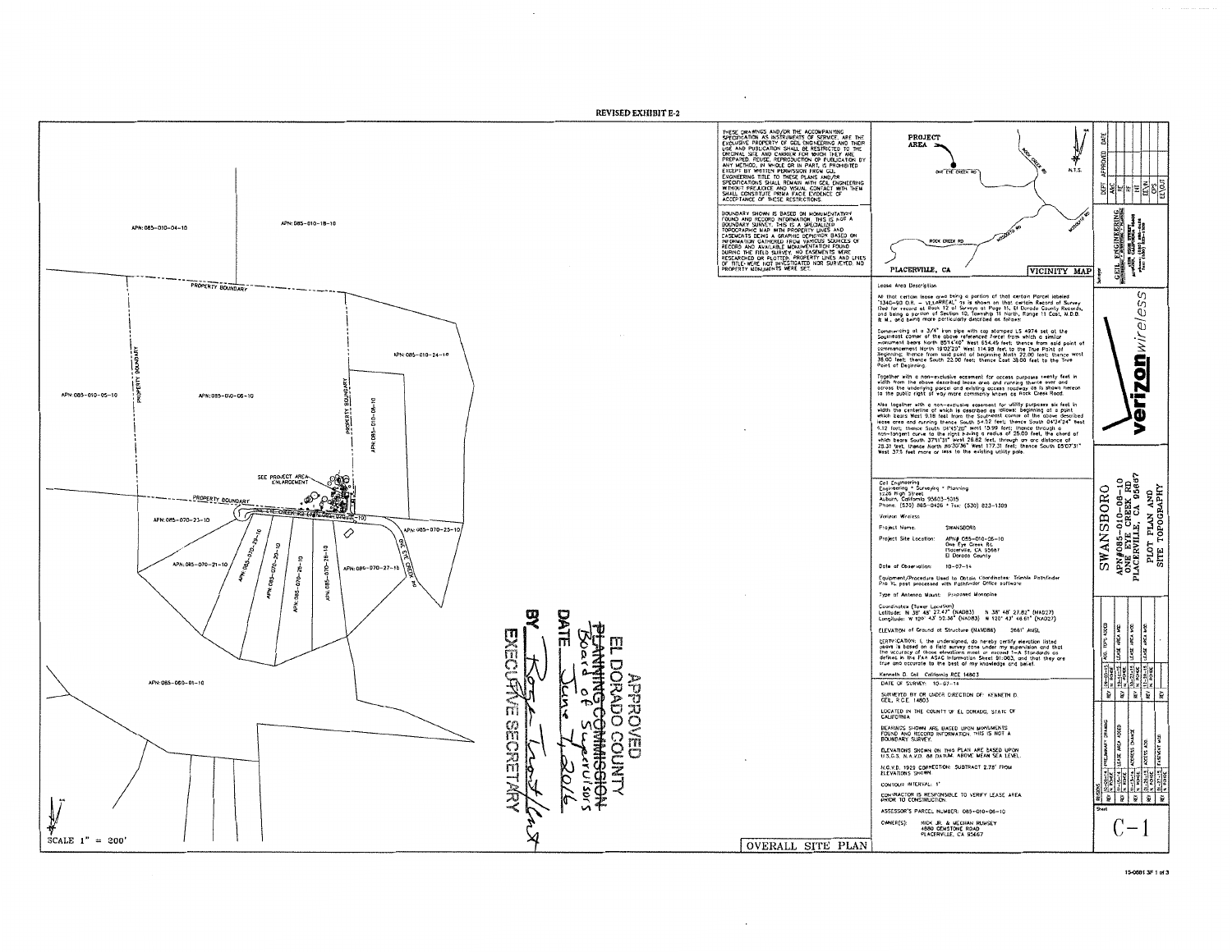

1549813F1-43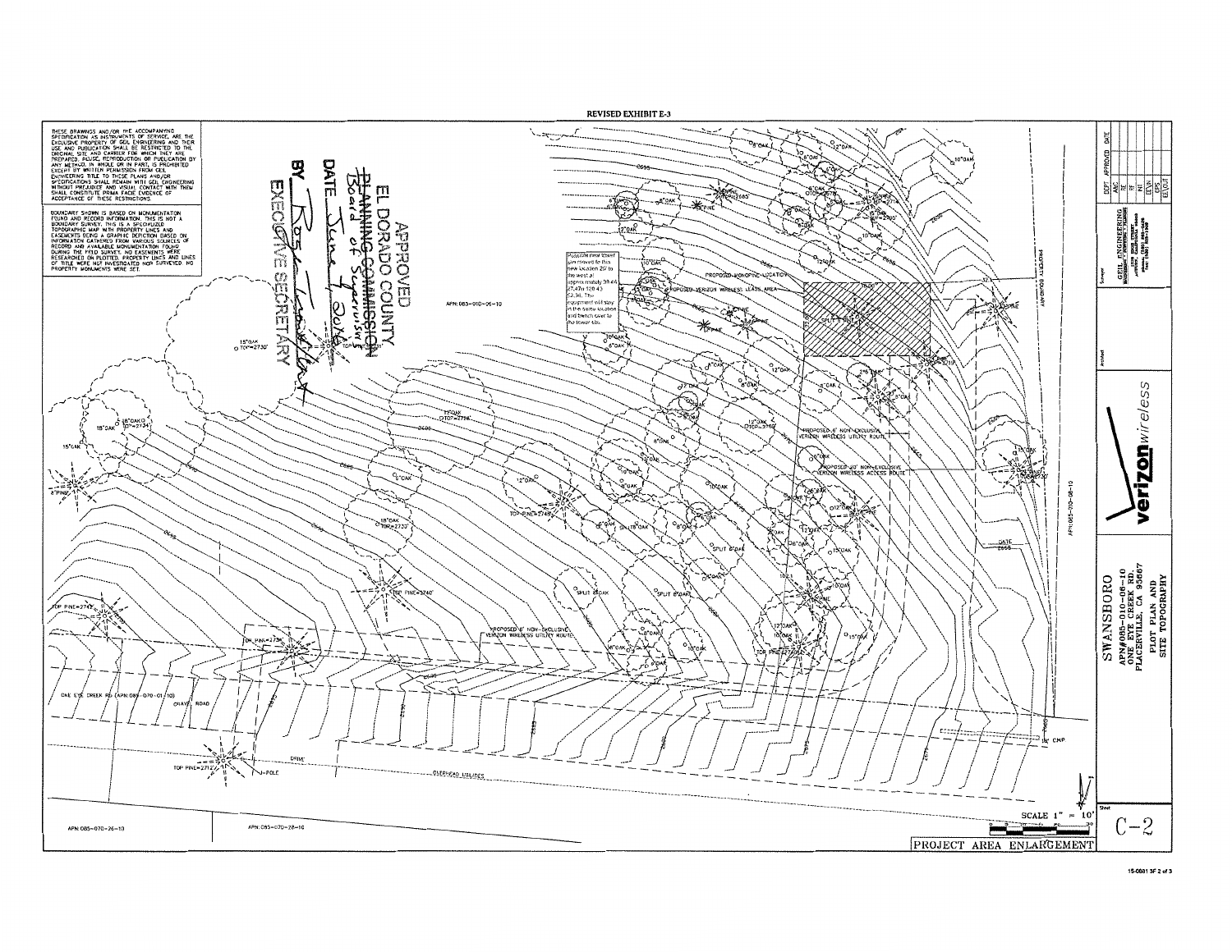

15-0881 3F 2 of 3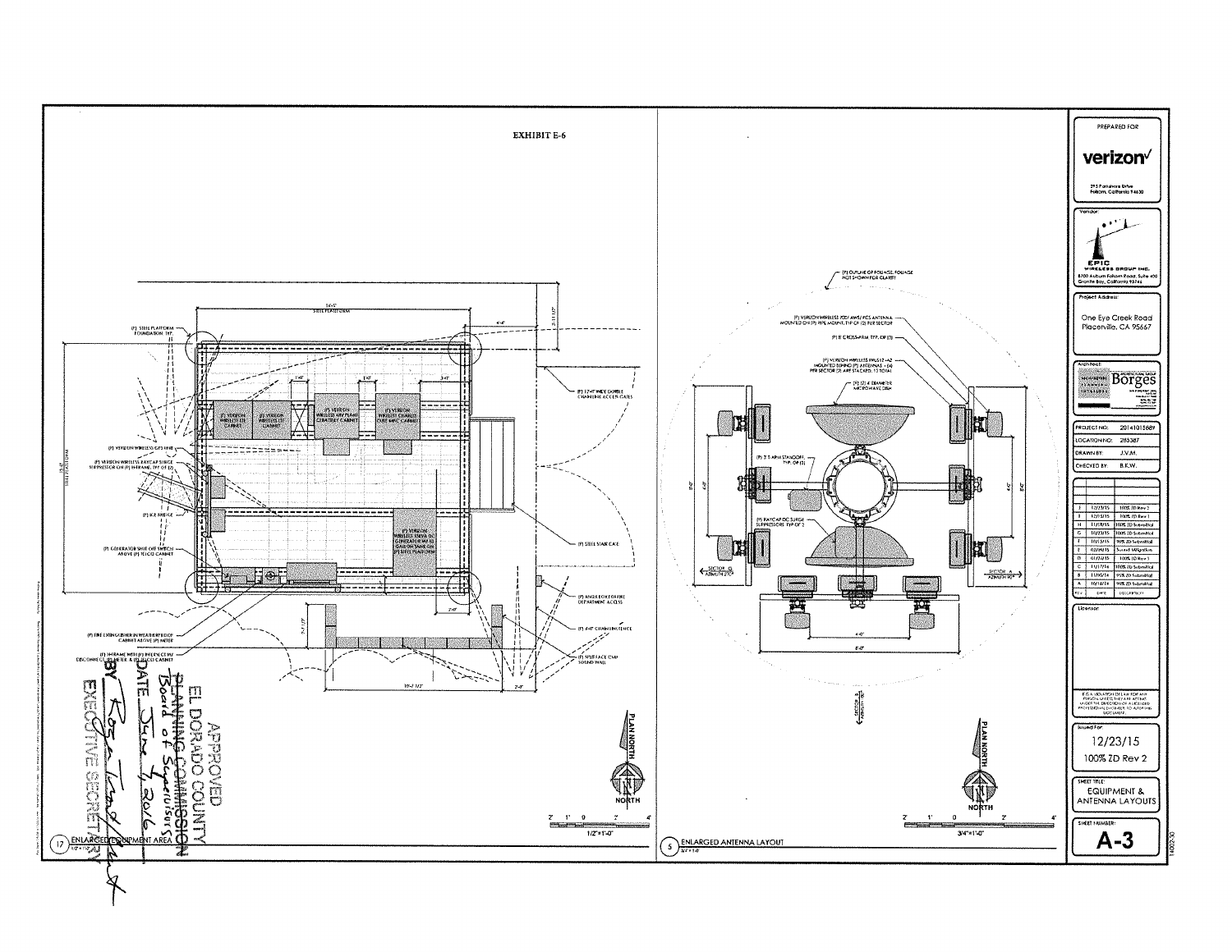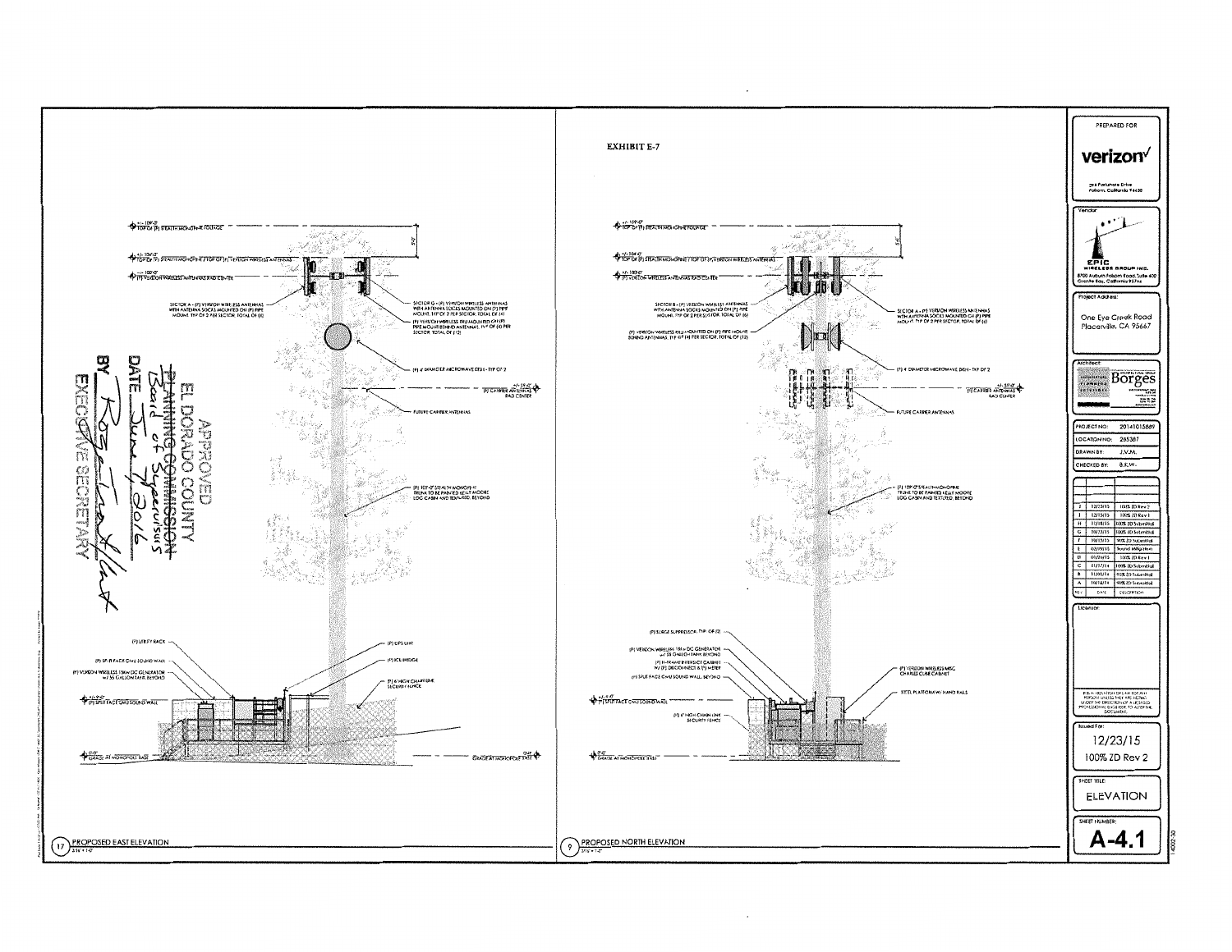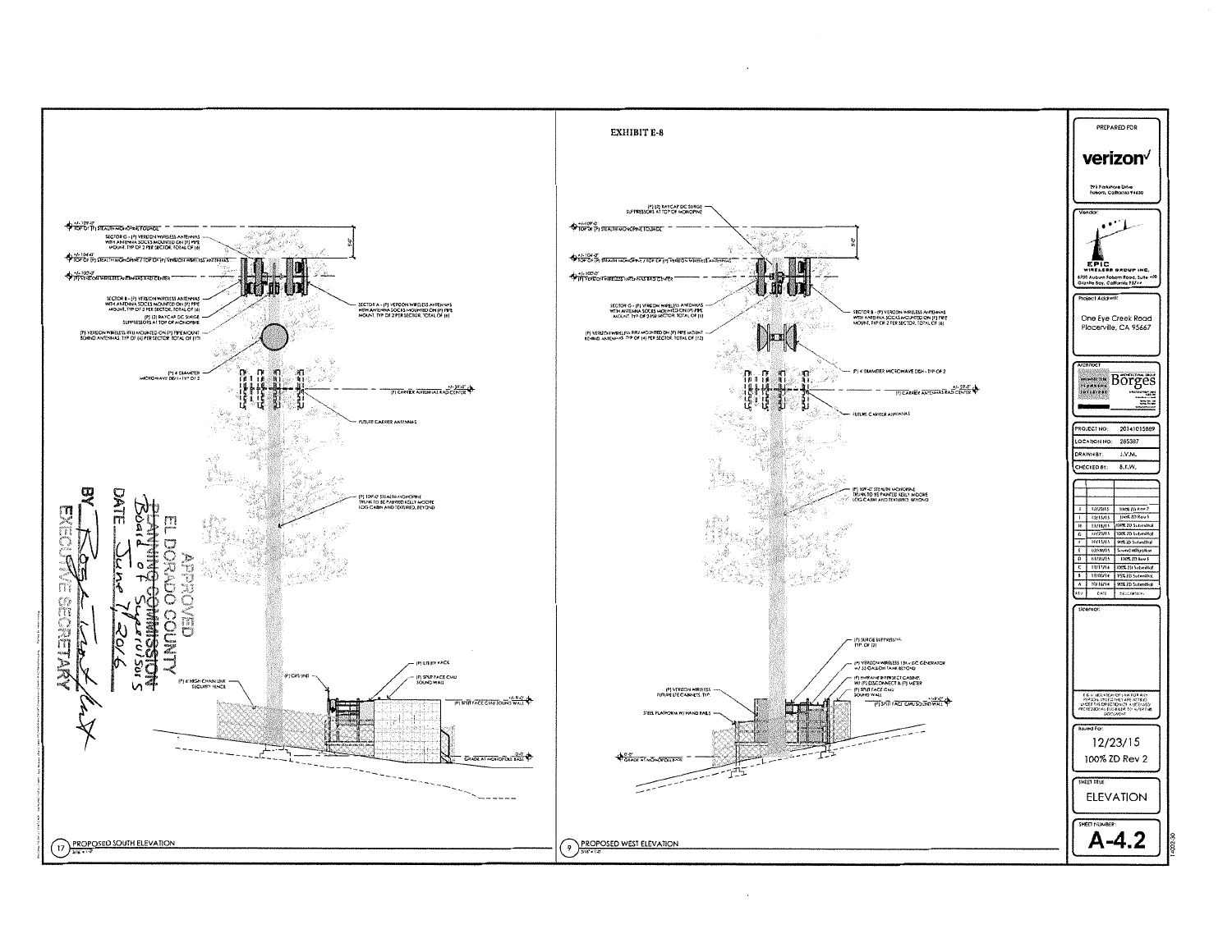